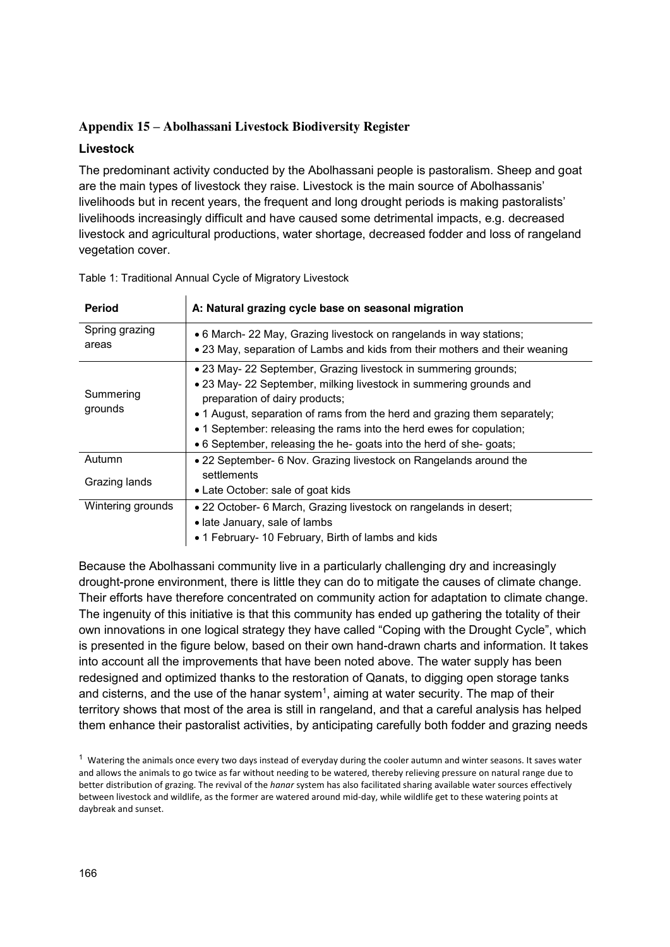## **Appendix 15 – Abolhassani Livestock Biodiversity Register**

#### **Livestock**

The predominant activity conducted by the Abolhassani people is pastoralism. Sheep and goat are the main types of livestock they raise. Livestock is the main source of Abolhassanis' livelihoods but in recent years, the frequent and long drought periods is making pastoralists' livelihoods increasingly difficult and have caused some detrimental impacts, e.g. decreased livestock and agricultural productions, water shortage, decreased fodder and loss of rangeland vegetation cover.

| <b>Period</b>           | A: Natural grazing cycle base on seasonal migration                                                                                                                                                                                                                                                                                                                                                 |
|-------------------------|-----------------------------------------------------------------------------------------------------------------------------------------------------------------------------------------------------------------------------------------------------------------------------------------------------------------------------------------------------------------------------------------------------|
| Spring grazing<br>areas | • 6 March- 22 May, Grazing livestock on rangelands in way stations;<br>• 23 May, separation of Lambs and kids from their mothers and their weaning                                                                                                                                                                                                                                                  |
| Summering<br>grounds    | • 23 May- 22 September, Grazing livestock in summering grounds;<br>• 23 May- 22 September, milking livestock in summering grounds and<br>preparation of dairy products;<br>• 1 August, separation of rams from the herd and grazing them separately;<br>• 1 September: releasing the rams into the herd ewes for copulation;<br>• 6 September, releasing the he- goats into the herd of she- goats; |
| Autumn                  | • 22 September- 6 Nov. Grazing livestock on Rangelands around the                                                                                                                                                                                                                                                                                                                                   |
| Grazing lands           | settlements<br>• Late October: sale of goat kids                                                                                                                                                                                                                                                                                                                                                    |
| Wintering grounds       | • 22 October- 6 March, Grazing livestock on rangelands in desert;                                                                                                                                                                                                                                                                                                                                   |
|                         | • late January, sale of lambs                                                                                                                                                                                                                                                                                                                                                                       |
|                         | • 1 February- 10 February, Birth of lambs and kids                                                                                                                                                                                                                                                                                                                                                  |

Table 1: Traditional Annual Cycle of Migratory Livestock

Because the Abolhassani community live in a particularly challenging dry and increasingly drought-prone environment, there is little they can do to mitigate the causes of climate change. Their efforts have therefore concentrated on community action for adaptation to climate change. The ingenuity of this initiative is that this community has ended up gathering the totality of their own innovations in one logical strategy they have called "Coping with the Drought Cycle", which is presented in the figure below, based on their own hand-drawn charts and information. It takes into account all the improvements that have been noted above. The water supply has been redesigned and optimized thanks to the restoration of Qanats, to digging open storage tanks and cisterns, and the use of the hanar system<sup>1</sup>, aiming at water security. The map of their territory shows that most of the area is still in rangeland, and that a careful analysis has helped them enhance their pastoralist activities, by anticipating carefully both fodder and grazing needs

 $1$  Watering the animals once every two days instead of everyday during the cooler autumn and winter seasons. It saves water and allows the animals to go twice as far without needing to be watered, thereby relieving pressure on natural range due to better distribution of grazing. The revival of the *hanar* system has also facilitated sharing available water sources effectively between livestock and wildlife, as the former are watered around mid-day, while wildlife get to these watering points at daybreak and sunset.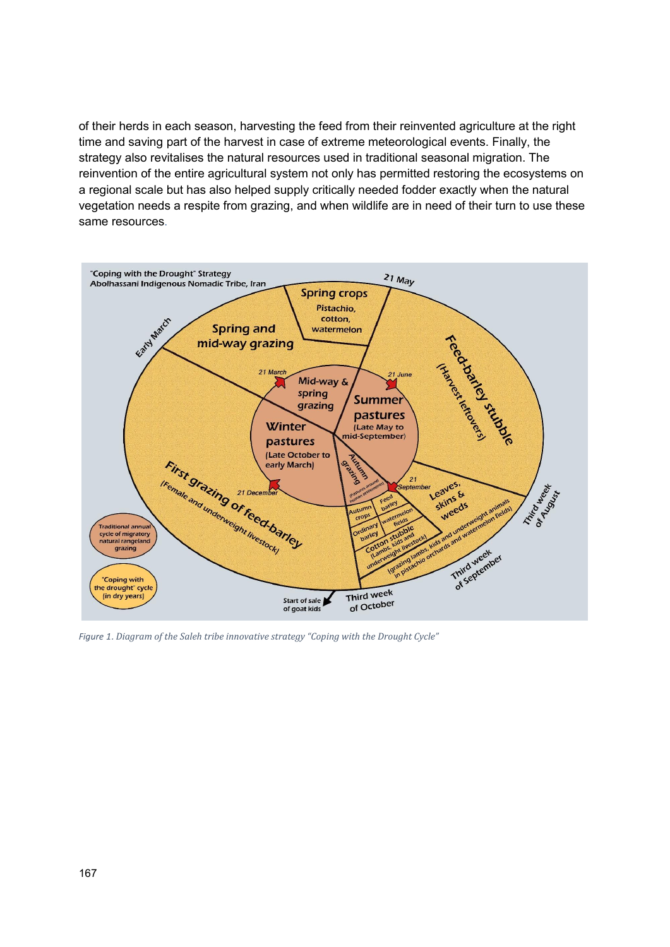of their herds in each season, harvesting the feed from their reinvented agriculture at the right time and saving part of the harvest in case of extreme meteorological events. Finally, the strategy also revitalises the natural resources used in traditional seasonal migration. The reinvention of the entire agricultural system not only has permitted restoring the ecosystems on a regional scale but has also helped supply critically needed fodder exactly when the natural vegetation needs a respite from grazing, and when wildlife are in need of their turn to use these same resources.



*Figure 1*. *Diagram of the Saleh tribe innovative strategy "Coping with the Drought Cycle"*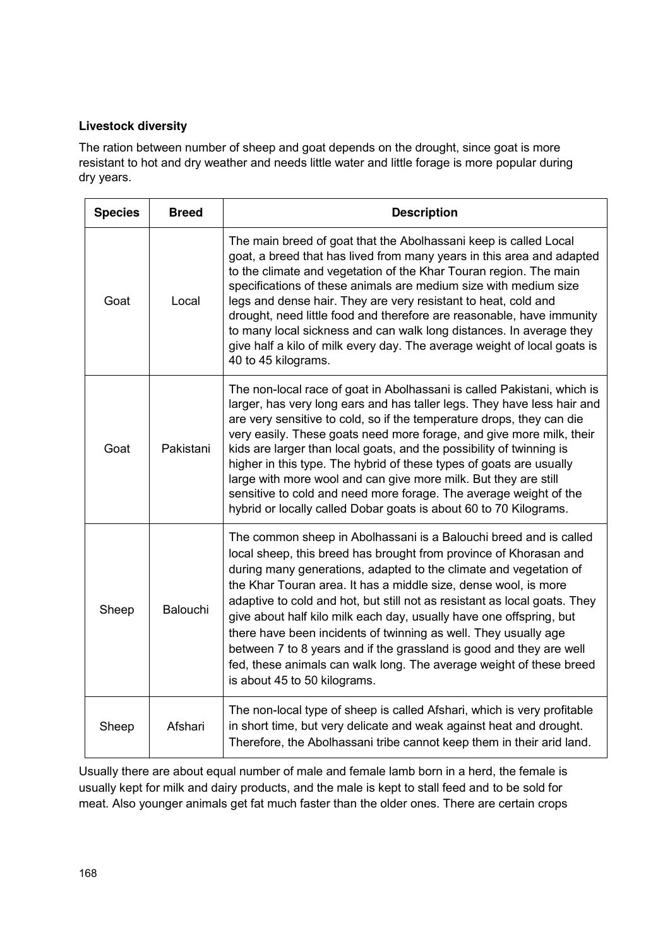## **Livestock diversity**

The ration between number of sheep and goat depends on the drought, since goat is more resistant to hot and dry weather and needs little water and little forage is more popular during dry years.

| <b>Species</b> | <b>Breed</b> | <b>Description</b>                                                                                                                                                                                                                                                                                                                                                                                                                                                                                                                                                                                                                                                                  |
|----------------|--------------|-------------------------------------------------------------------------------------------------------------------------------------------------------------------------------------------------------------------------------------------------------------------------------------------------------------------------------------------------------------------------------------------------------------------------------------------------------------------------------------------------------------------------------------------------------------------------------------------------------------------------------------------------------------------------------------|
| Goat           | Local        | The main breed of goat that the Abolhassani keep is called Local<br>goat, a breed that has lived from many years in this area and adapted<br>to the climate and vegetation of the Khar Touran region. The main<br>specifications of these animals are medium size with medium size<br>legs and dense hair. They are very resistant to heat, cold and<br>drought, need little food and therefore are reasonable, have immunity<br>to many local sickness and can walk long distances. In average they<br>give half a kilo of milk every day. The average weight of local goats is<br>40 to 45 kilograms.                                                                             |
| Goat           | Pakistani    | The non-local race of goat in Abolhassani is called Pakistani, which is<br>larger, has very long ears and has taller legs. They have less hair and<br>are very sensitive to cold, so if the temperature drops, they can die<br>very easily. These goats need more forage, and give more milk, their<br>kids are larger than local goats, and the possibility of twinning is<br>higher in this type. The hybrid of these types of goats are usually<br>large with more wool and can give more milk. But they are still<br>sensitive to cold and need more forage. The average weight of the<br>hybrid or locally called Dobar goats is about 60 to 70 Kilograms.                     |
| Sheep          | Balouchi     | The common sheep in Abolhassani is a Balouchi breed and is called<br>local sheep, this breed has brought from province of Khorasan and<br>during many generations, adapted to the climate and vegetation of<br>the Khar Touran area. It has a middle size, dense wool, is more<br>adaptive to cold and hot, but still not as resistant as local goats. They<br>give about half kilo milk each day, usually have one offspring, but<br>there have been incidents of twinning as well. They usually age<br>between 7 to 8 years and if the grassland is good and they are well<br>fed, these animals can walk long. The average weight of these breed<br>is about 45 to 50 kilograms. |
| Sheep          | Afshari      | The non-local type of sheep is called Afshari, which is very profitable<br>in short time, but very delicate and weak against heat and drought.<br>Therefore, the Abolhassani tribe cannot keep them in their arid land.                                                                                                                                                                                                                                                                                                                                                                                                                                                             |

Usually there are about equal number of male and female lamb born in a herd, the female is usually kept for milk and dairy products, and the male is kept to stall feed and to be sold for meat. Also younger animals get fat much faster than the older ones. There are certain crops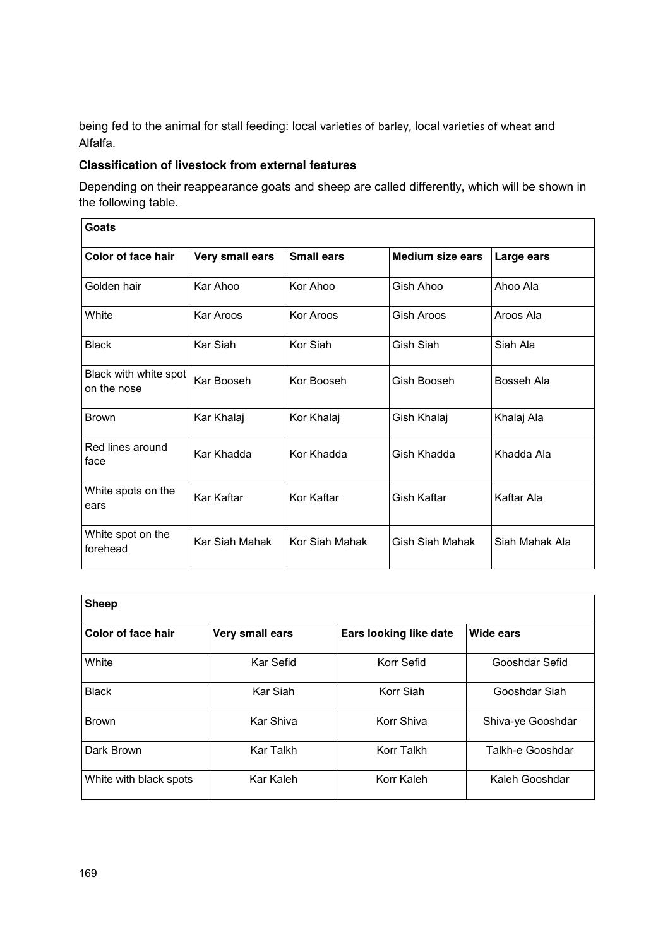being fed to the animal for stall feeding: local varieties of barley, local varieties of wheat and Alfalfa.

#### **Classification of livestock from external features**

Depending on their reappearance goats and sheep are called differently, which will be shown in the following table.

| Goats                                |                 |                   |                         |                |
|--------------------------------------|-----------------|-------------------|-------------------------|----------------|
| Color of face hair                   | Very small ears | <b>Small ears</b> | <b>Medium size ears</b> | Large ears     |
| Golden hair                          | Kar Ahoo        | Kor Ahoo          | Gish Ahoo               | Ahoo Ala       |
| <b>White</b>                         | Kar Aroos       | Kor Aroos         | Gish Aroos              | Aroos Ala      |
| <b>Black</b>                         | Kar Siah        | Kor Siah          | Gish Siah               | Siah Ala       |
| Black with white spot<br>on the nose | Kar Booseh      | Kor Booseh        | Gish Booseh             | Bosseh Ala     |
| <b>Brown</b>                         | Kar Khalaj      | Kor Khalaj        | Gish Khalaj             | Khalaj Ala     |
| Red lines around<br>face             | Kar Khadda      | Kor Khadda        | Gish Khadda             | Khadda Ala     |
| White spots on the<br>ears           | Kar Kaftar      | Kor Kaftar        | Gish Kaftar             | Kaftar Ala     |
| White spot on the<br>forehead        | Kar Siah Mahak  | Kor Siah Mahak    | Gish Siah Mahak         | Siah Mahak Ala |

| <b>Sheep</b>           |                  |                        |                   |
|------------------------|------------------|------------------------|-------------------|
| Color of face hair     | Very small ears  | Ears looking like date | Wide ears         |
| White                  | Kar Sefid        | Korr Sefid             | Gooshdar Sefid    |
| <b>Black</b>           | Kar Siah         | Korr Siah              | Gooshdar Siah     |
| <b>Brown</b>           | Kar Shiva        | Korr Shiva             | Shiva-ye Gooshdar |
| Dark Brown             | <b>Kar Talkh</b> | Korr Talkh             | Talkh-e Gooshdar  |
| White with black spots | Kar Kaleh        | Korr Kaleh             | Kaleh Gooshdar    |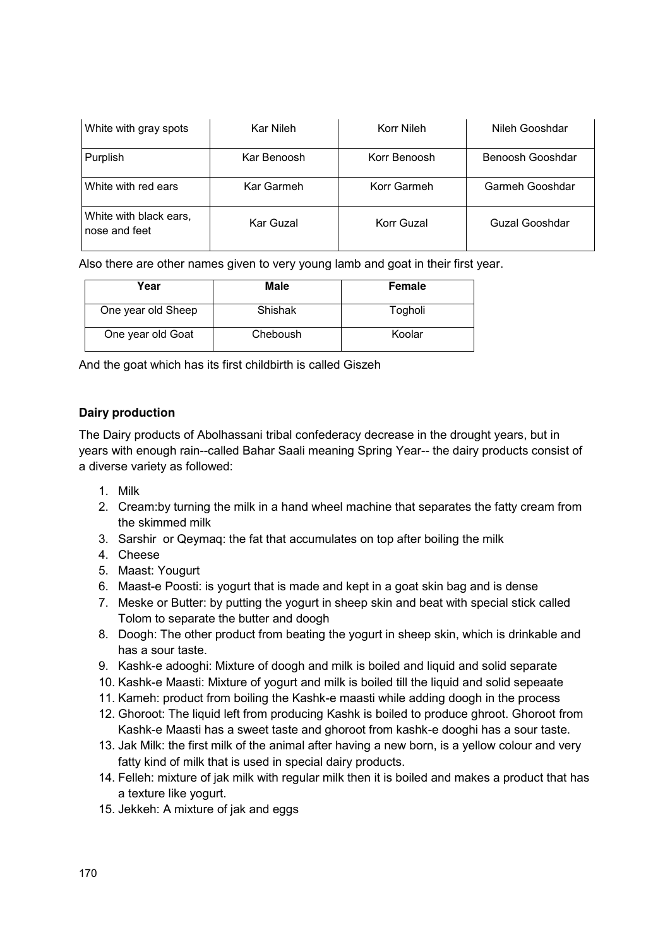| White with gray spots                   | Kar Nileh   | Korr Nileh   | Nileh Gooshdar   |
|-----------------------------------------|-------------|--------------|------------------|
| Purplish                                | Kar Benoosh | Korr Benoosh | Benoosh Gooshdar |
| White with red ears                     | Kar Garmeh  | Korr Garmeh  | Garmeh Gooshdar  |
| White with black ears,<br>nose and feet | Kar Guzal   | Korr Guzal   | Guzal Gooshdar   |

Also there are other names given to very young lamb and goat in their first year.

| Year               | Male     | <b>Female</b> |
|--------------------|----------|---------------|
| One year old Sheep | Shishak  | Togholi       |
| One year old Goat  | Cheboush | Koolar        |

And the goat which has its first childbirth is called Giszeh

### **Dairy production**

The Dairy products of Abolhassani tribal confederacy decrease in the drought years, but in years with enough rain--called Bahar Saali meaning Spring Year-- the dairy products consist of a diverse variety as followed:

- 1. Milk
- 2. Cream:by turning the milk in a hand wheel machine that separates the fatty cream from the skimmed milk
- 3. Sarshir or Qeymaq: the fat that accumulates on top after boiling the milk
- 4. Cheese
- 5. Maast: Yougurt
- 6. Maast-e Poosti: is yogurt that is made and kept in a goat skin bag and is dense
- 7. Meske or Butter: by putting the yogurt in sheep skin and beat with special stick called Tolom to separate the butter and doogh
- 8. Doogh: The other product from beating the yogurt in sheep skin, which is drinkable and has a sour taste.
- 9. Kashk-e adooghi: Mixture of doogh and milk is boiled and liquid and solid separate
- 10. Kashk-e Maasti: Mixture of yogurt and milk is boiled till the liquid and solid sepeaate
- 11. Kameh: product from boiling the Kashk-e maasti while adding doogh in the process
- 12. Ghoroot: The liquid left from producing Kashk is boiled to produce ghroot. Ghoroot from Kashk-e Maasti has a sweet taste and ghoroot from kashk-e dooghi has a sour taste.
- 13. Jak Milk: the first milk of the animal after having a new born, is a yellow colour and very fatty kind of milk that is used in special dairy products.
- 14. Felleh: mixture of jak milk with regular milk then it is boiled and makes a product that has a texture like yogurt.
- 15. Jekkeh: A mixture of jak and eggs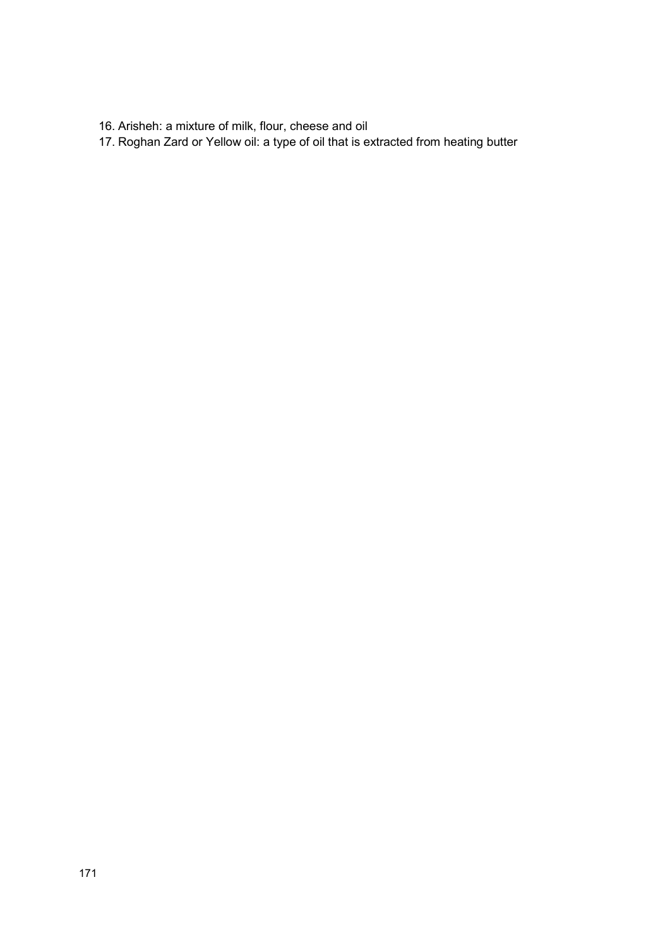- 16. Arisheh: a mixture of milk, flour, cheese and oil
- 17. Roghan Zard or Yellow oil: a type of oil that is extracted from heating butter